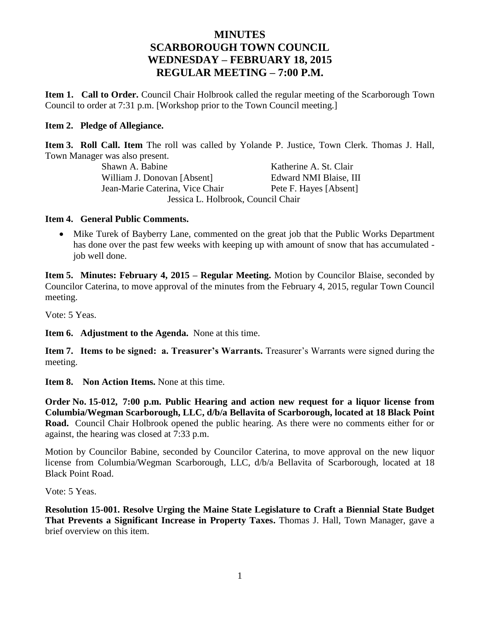# **MINUTES SCARBOROUGH TOWN COUNCIL WEDNESDAY – FEBRUARY 18, 2015 REGULAR MEETING – 7:00 P.M.**

**Item 1. Call to Order.** Council Chair Holbrook called the regular meeting of the Scarborough Town Council to order at 7:31 p.m. [Workshop prior to the Town Council meeting.]

## **Item 2. Pledge of Allegiance.**

**Item 3. Roll Call. Item** The roll was called by Yolande P. Justice, Town Clerk. Thomas J. Hall, Town Manager was also present.

Shawn A. Babine Katherine A. St. Clair William J. Donovan [Absent] Edward NMI Blaise, III Jean-Marie Caterina, Vice Chair Pete F. Hayes [Absent] Jessica L. Holbrook, Council Chair

## **Item 4. General Public Comments.**

• Mike Turek of Bayberry Lane, commented on the great job that the Public Works Department has done over the past few weeks with keeping up with amount of snow that has accumulated job well done.

**Item 5. Minutes: February 4, 2015 – Regular Meeting.** Motion by Councilor Blaise, seconded by Councilor Caterina, to move approval of the minutes from the February 4, 2015, regular Town Council meeting.

Vote: 5 Yeas.

**Item 6. Adjustment to the Agenda.** None at this time.

**Item 7. Items to be signed: a. Treasurer's Warrants.** Treasurer's Warrants were signed during the meeting.

**Item 8. Non Action Items.** None at this time.

**Order No. 15-012, 7:00 p.m. Public Hearing and action new request for a liquor license from Columbia/Wegman Scarborough, LLC, d/b/a Bellavita of Scarborough, located at 18 Black Point Road.** Council Chair Holbrook opened the public hearing. As there were no comments either for or against, the hearing was closed at 7:33 p.m.

Motion by Councilor Babine, seconded by Councilor Caterina, to move approval on the new liquor license from Columbia/Wegman Scarborough, LLC, d/b/a Bellavita of Scarborough, located at 18 Black Point Road.

Vote: 5 Yeas.

**Resolution 15-001. Resolve Urging the Maine State Legislature to Craft a Biennial State Budget That Prevents a Significant Increase in Property Taxes.** Thomas J. Hall, Town Manager, gave a brief overview on this item.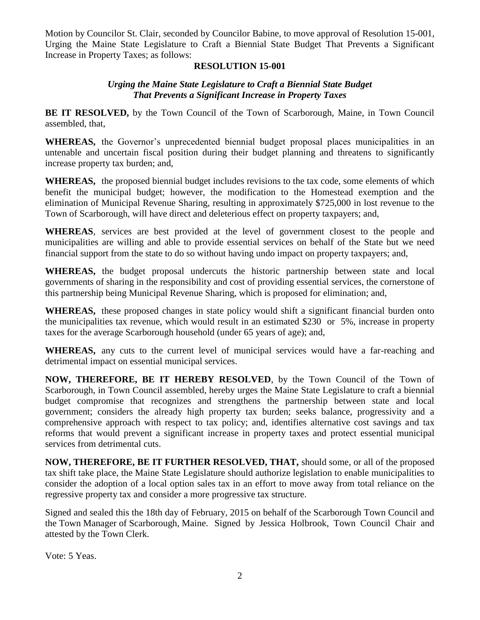Motion by Councilor St. Clair, seconded by Councilor Babine, to move approval of Resolution 15-001, Urging the Maine State Legislature to Craft a Biennial State Budget That Prevents a Significant Increase in Property Taxes; as follows:

## **RESOLUTION 15-001**

## *Urging the Maine State Legislature to Craft a Biennial State Budget That Prevents a Significant Increase in Property Taxes*

**BE IT RESOLVED,** by the Town Council of the Town of Scarborough, Maine, in Town Council assembled, that,

**WHEREAS,** the Governor's unprecedented biennial budget proposal places municipalities in an untenable and uncertain fiscal position during their budget planning and threatens to significantly increase property tax burden; and,

**WHEREAS,** the proposed biennial budget includes revisions to the tax code, some elements of which benefit the municipal budget; however, the modification to the Homestead exemption and the elimination of Municipal Revenue Sharing, resulting in approximately \$725,000 in lost revenue to the Town of Scarborough, will have direct and deleterious effect on property taxpayers; and,

**WHEREAS**, services are best provided at the level of government closest to the people and municipalities are willing and able to provide essential services on behalf of the State but we need financial support from the state to do so without having undo impact on property taxpayers; and,

**WHEREAS,** the budget proposal undercuts the historic partnership between state and local governments of sharing in the responsibility and cost of providing essential services, the cornerstone of this partnership being Municipal Revenue Sharing, which is proposed for elimination; and,

**WHEREAS,** these proposed changes in state policy would shift a significant financial burden onto the municipalities tax revenue, which would result in an estimated \$230 or 5%, increase in property taxes for the average Scarborough household (under 65 years of age); and,

**WHEREAS,** any cuts to the current level of municipal services would have a far-reaching and detrimental impact on essential municipal services.

**NOW, THEREFORE, BE IT HEREBY RESOLVED**, by the Town Council of the Town of Scarborough, in Town Council assembled, hereby urges the Maine State Legislature to craft a biennial budget compromise that recognizes and strengthens the partnership between state and local government; considers the already high property tax burden; seeks balance, progressivity and a comprehensive approach with respect to tax policy; and, identifies alternative cost savings and tax reforms that would prevent a significant increase in property taxes and protect essential municipal services from detrimental cuts.

**NOW, THEREFORE, BE IT FURTHER RESOLVED, THAT,** should some, or all of the proposed tax shift take place, the Maine State Legislature should authorize legislation to enable municipalities to consider the adoption of a local option sales tax in an effort to move away from total reliance on the regressive property tax and consider a more progressive tax structure.

Signed and sealed this the 18th day of February, 2015 on behalf of the Scarborough Town Council and the Town Manager of Scarborough, Maine. Signed by Jessica Holbrook, Town Council Chair and attested by the Town Clerk.

Vote: 5 Yeas.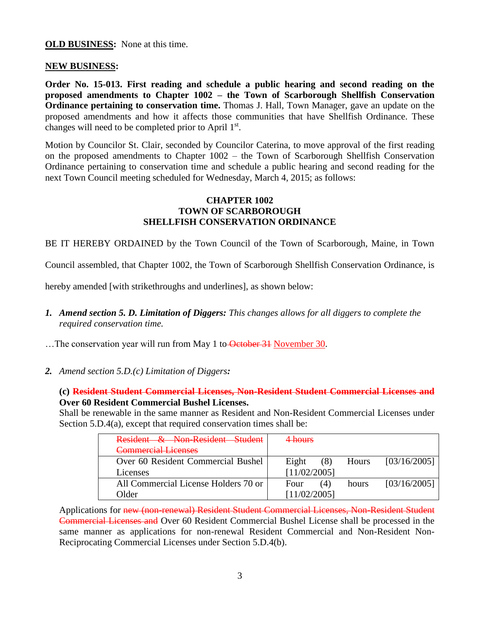### **OLD BUSINESS:** None at this time.

#### **NEW BUSINESS:**

**Order No. 15-013. First reading and schedule a public hearing and second reading on the proposed amendments to Chapter 1002 – the Town of Scarborough Shellfish Conservation Ordinance pertaining to conservation time.** Thomas J. Hall, Town Manager, gave an update on the proposed amendments and how it affects those communities that have Shellfish Ordinance. These changes will need to be completed prior to April 1st.

Motion by Councilor St. Clair, seconded by Councilor Caterina, to move approval of the first reading on the proposed amendments to Chapter 1002 – the Town of Scarborough Shellfish Conservation Ordinance pertaining to conservation time and schedule a public hearing and second reading for the next Town Council meeting scheduled for Wednesday, March 4, 2015; as follows:

#### **CHAPTER 1002 TOWN OF SCARBOROUGH SHELLFISH CONSERVATION ORDINANCE**

BE IT HEREBY ORDAINED by the Town Council of the Town of Scarborough, Maine, in Town

Council assembled, that Chapter 1002, the Town of Scarborough Shellfish Conservation Ordinance, is

hereby amended [with strikethroughs and underlines], as shown below:

*1. Amend section 5. D. Limitation of Diggers: This changes allows for all diggers to complete the required conservation time.*

...The conservation year will run from May 1 to October 31 November 30.

*2. Amend section 5.D.(c) Limitation of Diggers:*

**(c) Resident Student Commercial Licenses, Non-Resident Student Commercial Licenses and Over 60 Resident Commercial Bushel Licenses.**

Shall be renewable in the same manner as Resident and Non-Resident Commercial Licenses under Section 5.D.4(a), except that required conservation times shall be:

| Resident & Non-Resident Student      | <del>4 hours</del>                    |
|--------------------------------------|---------------------------------------|
| <b>Commercial Licenses</b>           |                                       |
| Over 60 Resident Commercial Bushel   | [03/16/2005]<br>Eight<br>(8)<br>Hours |
| Licenses                             | [11/02/2005]                          |
| All Commercial License Holders 70 or | [03/16/2005]<br>Four<br>(4)<br>hours  |
| Older                                | [11/02/2005]                          |

Applications for new (non-renewal) Resident Student Commercial Licenses, Non-Resident Student Commercial Licenses and Over 60 Resident Commercial Bushel License shall be processed in the same manner as applications for non-renewal Resident Commercial and Non-Resident Non-Reciprocating Commercial Licenses under Section 5.D.4(b).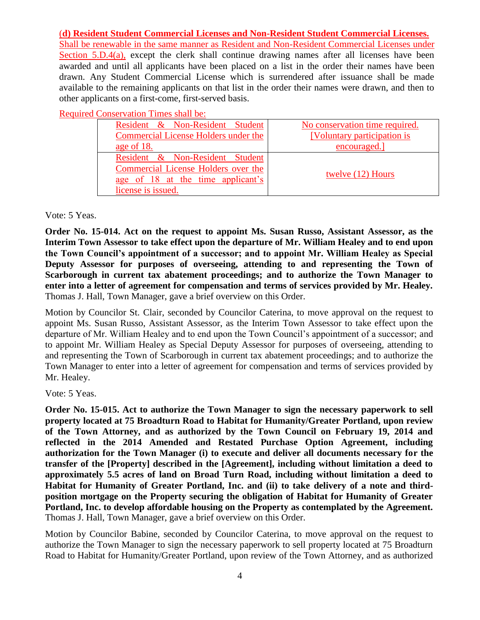## (**d) Resident Student Commercial Licenses and Non-Resident Student Commercial Licenses.**

Shall be renewable in the same manner as Resident and Non-Resident Commercial Licenses under Section 5.D.4(a), except the clerk shall continue drawing names after all licenses have been awarded and until all applicants have been placed on a list in the order their names have been drawn. Any Student Commercial License which is surrendered after issuance shall be made available to the remaining applicants on that list in the order their names were drawn, and then to other applicants on a first-come, first-served basis.

Required Conservation Times shall be:

| Resident & Non-Resident Student      | No conservation time required. |
|--------------------------------------|--------------------------------|
| Commercial License Holders under the | [Voluntary participation is    |
| age of 18.                           | encouraged.                    |
| Resident & Non-Resident Student      |                                |
| Commercial License Holders over the  |                                |
| age of 18 at the time applicant's    | twelve (12) Hours              |
| license is issued.                   |                                |

Vote: 5 Yeas.

**Order No. 15-014. Act on the request to appoint Ms. Susan Russo, Assistant Assessor, as the Interim Town Assessor to take effect upon the departure of Mr. William Healey and to end upon the Town Council's appointment of a successor; and to appoint Mr. William Healey as Special Deputy Assessor for purposes of overseeing, attending to and representing the Town of Scarborough in current tax abatement proceedings; and to authorize the Town Manager to enter into a letter of agreement for compensation and terms of services provided by Mr. Healey.** Thomas J. Hall, Town Manager, gave a brief overview on this Order.

Motion by Councilor St. Clair, seconded by Councilor Caterina, to move approval on the request to appoint Ms. Susan Russo, Assistant Assessor, as the Interim Town Assessor to take effect upon the departure of Mr. William Healey and to end upon the Town Council's appointment of a successor; and to appoint Mr. William Healey as Special Deputy Assessor for purposes of overseeing, attending to and representing the Town of Scarborough in current tax abatement proceedings; and to authorize the Town Manager to enter into a letter of agreement for compensation and terms of services provided by Mr. Healey.

Vote: 5 Yeas.

**Order No. 15-015. Act to authorize the Town Manager to sign the necessary paperwork to sell property located at 75 Broadturn Road to Habitat for Humanity/Greater Portland, upon review of the Town Attorney, and as authorized by the Town Council on February 19, 2014 and reflected in the 2014 Amended and Restated Purchase Option Agreement, including authorization for the Town Manager (i) to execute and deliver all documents necessary for the transfer of the [Property] described in the [Agreement], including without limitation a deed to approximately 5.5 acres of land on Broad Turn Road, including without limitation a deed to Habitat for Humanity of Greater Portland, Inc. and (ii) to take delivery of a note and thirdposition mortgage on the Property securing the obligation of Habitat for Humanity of Greater Portland, Inc. to develop affordable housing on the Property as contemplated by the Agreement.** Thomas J. Hall, Town Manager, gave a brief overview on this Order.

Motion by Councilor Babine, seconded by Councilor Caterina, to move approval on the request to authorize the Town Manager to sign the necessary paperwork to sell property located at 75 Broadturn Road to Habitat for Humanity/Greater Portland, upon review of the Town Attorney, and as authorized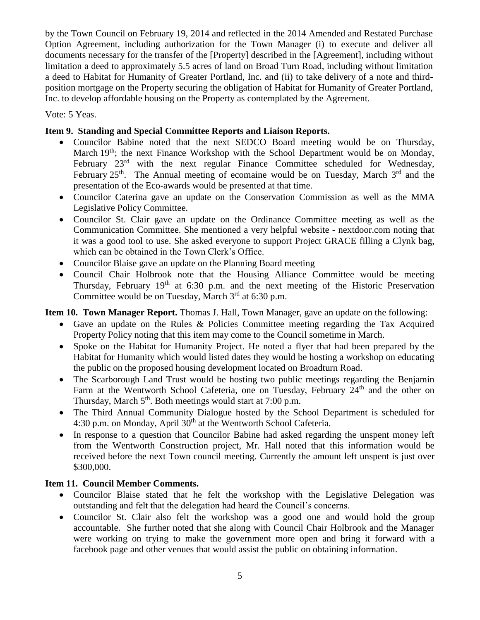by the Town Council on February 19, 2014 and reflected in the 2014 Amended and Restated Purchase Option Agreement, including authorization for the Town Manager (i) to execute and deliver all documents necessary for the transfer of the [Property] described in the [Agreement], including without limitation a deed to approximately 5.5 acres of land on Broad Turn Road, including without limitation a deed to Habitat for Humanity of Greater Portland, Inc. and (ii) to take delivery of a note and thirdposition mortgage on the Property securing the obligation of Habitat for Humanity of Greater Portland, Inc. to develop affordable housing on the Property as contemplated by the Agreement.

Vote: 5 Yeas.

## **Item 9. Standing and Special Committee Reports and Liaison Reports.**

- Councilor Babine noted that the next SEDCO Board meeting would be on Thursday, March 19<sup>th</sup>; the next Finance Workshop with the School Department would be on Monday, February  $23<sup>rd</sup>$  with the next regular Finance Committee scheduled for Wednesday, February  $25<sup>th</sup>$ . The Annual meeting of ecomaine would be on Tuesday, March  $3<sup>rd</sup>$  and the presentation of the Eco-awards would be presented at that time.
- Councilor Caterina gave an update on the Conservation Commission as well as the MMA Legislative Policy Committee.
- Councilor St. Clair gave an update on the Ordinance Committee meeting as well as the Communication Committee. She mentioned a very helpful website - nextdoor.com noting that it was a good tool to use. She asked everyone to support Project GRACE filling a Clynk bag, which can be obtained in the Town Clerk's Office.
- Councilor Blaise gave an update on the Planning Board meeting
- Council Chair Holbrook note that the Housing Alliance Committee would be meeting Thursday, February  $19<sup>th</sup>$  at 6:30 p.m. and the next meeting of the Historic Preservation Committee would be on Tuesday, March  $3<sup>rd</sup>$  at 6:30 p.m.

**Item 10. Town Manager Report.** Thomas J. Hall, Town Manager, gave an update on the following:

- Gave an update on the Rules & Policies Committee meeting regarding the Tax Acquired Property Policy noting that this item may come to the Council sometime in March.
- Spoke on the Habitat for Humanity Project. He noted a flyer that had been prepared by the Habitat for Humanity which would listed dates they would be hosting a workshop on educating the public on the proposed housing development located on Broadturn Road.
- The Scarborough Land Trust would be hosting two public meetings regarding the Benjamin Farm at the Wentworth School Cafeteria, one on Tuesday, February 24<sup>th</sup> and the other on Thursday, March 5<sup>th</sup>. Both meetings would start at 7:00 p.m.
- The Third Annual Community Dialogue hosted by the School Department is scheduled for 4:30 p.m. on Monday, April 30<sup>th</sup> at the Wentworth School Cafeteria.
- In response to a question that Councilor Babine had asked regarding the unspent money left from the Wentworth Construction project, Mr. Hall noted that this information would be received before the next Town council meeting. Currently the amount left unspent is just over \$300,000.

## **Item 11. Council Member Comments.**

- Councilor Blaise stated that he felt the workshop with the Legislative Delegation was outstanding and felt that the delegation had heard the Council's concerns.
- Councilor St. Clair also felt the workshop was a good one and would hold the group accountable. She further noted that she along with Council Chair Holbrook and the Manager were working on trying to make the government more open and bring it forward with a facebook page and other venues that would assist the public on obtaining information.